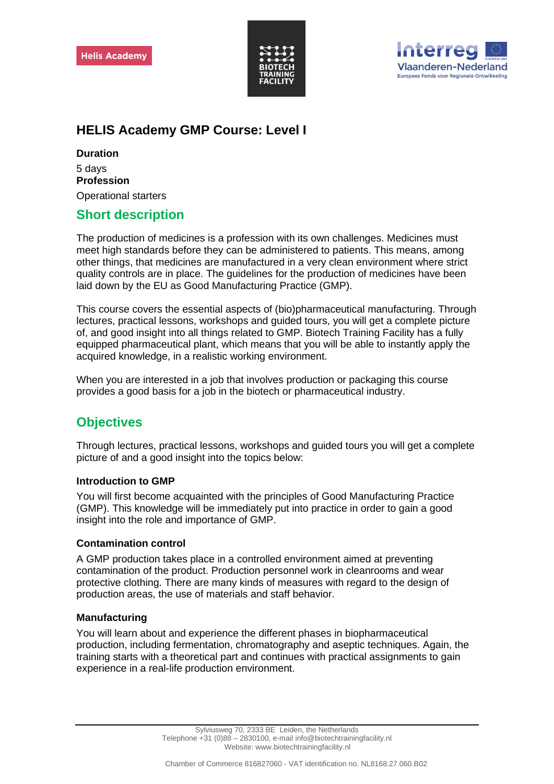



# **HELIS Academy GMP Course: Level I**

## **Duration**

5 days **Profession** Operational starters

# **Short description**

The production of medicines is a profession with its own challenges. Medicines must meet high standards before they can be administered to patients. This means, among other things, that medicines are manufactured in a very clean environment where strict quality controls are in place. The guidelines for the production of medicines have been laid down by the EU as Good Manufacturing Practice (GMP).

This course covers the essential aspects of (bio)pharmaceutical manufacturing. Through lectures, practical lessons, workshops and guided tours, you will get a complete picture of, and good insight into all things related to GMP. Biotech Training Facility has a fully equipped pharmaceutical plant, which means that you will be able to instantly apply the acquired knowledge, in a realistic working environment.

When you are interested in a job that involves production or packaging this course provides a good basis for a job in the biotech or pharmaceutical industry.

# **Objectives**

Through lectures, practical lessons, workshops and guided tours you will get a complete picture of and a good insight into the topics below:

## **Introduction to GMP**

You will first become acquainted with the principles of Good Manufacturing Practice (GMP). This knowledge will be immediately put into practice in order to gain a good insight into the role and importance of GMP.

## **Contamination control**

A GMP production takes place in a controlled environment aimed at preventing contamination of the product. Production personnel work in cleanrooms and wear protective clothing. There are many kinds of measures with regard to the design of production areas, the use of materials and staff behavior.

## **Manufacturing**

You will learn about and experience the different phases in biopharmaceutical production, including fermentation, chromatography and aseptic techniques. Again, the training starts with a theoretical part and continues with practical assignments to gain experience in a real-life production environment.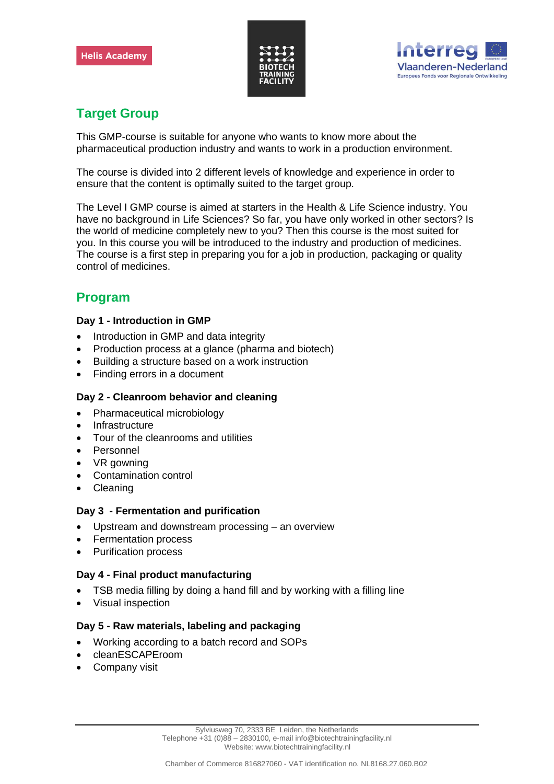



# **Target Group**

This GMP-course is suitable for anyone who wants to know more about the pharmaceutical production industry and wants to work in a production environment.

The course is divided into 2 different levels of knowledge and experience in order to ensure that the content is optimally suited to the target group.

The Level I GMP course is aimed at starters in the Health & Life Science industry. You have no background in Life Sciences? So far, you have only worked in other sectors? Is the world of medicine completely new to you? Then this course is the most suited for you. In this course you will be introduced to the industry and production of medicines. The course is a first step in preparing you for a job in production, packaging or quality control of medicines.

# **Program**

## **Day 1 - Introduction in GMP**

- Introduction in GMP and data integrity
- Production process at a glance (pharma and biotech)
- Building a structure based on a work instruction
- Finding errors in a document

## **Day 2 - Cleanroom behavior and cleaning**

- Pharmaceutical microbiology
- **Infrastructure**
- Tour of the cleanrooms and utilities
- **Personnel**
- VR gowning
- Contamination control
- Cleaning

### **Day 3 - Fermentation and purification**

- Upstream and downstream processing an overview
- Fermentation process
- Purification process

## **Day 4 - Final product manufacturing**

- TSB media filling by doing a hand fill and by working with a filling line
- Visual inspection

## **Day 5 - Raw materials, labeling and packaging**

- Working according to a batch record and SOPs
- cleanESCAPEroom
- Company visit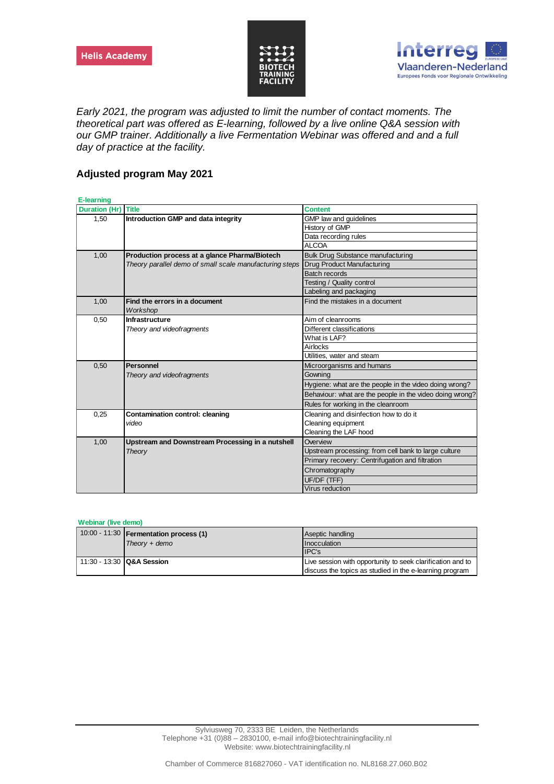



*Early 2021, the program was adjusted to limit the number of contact moments. The theoretical part was offered as E-learning, followed by a live online Q&A session with our GMP trainer. Additionally a live Fermentation Webinar was offered and and a full day of practice at the facility.*

## **Adjusted program May 2021**

| <b>E-learning</b> |                                                         |                                                          |
|-------------------|---------------------------------------------------------|----------------------------------------------------------|
| Duration (Hr)     | <b>Title</b>                                            | <b>Content</b>                                           |
| 1,50              | Introduction GMP and data integrity                     | GMP law and guidelines                                   |
|                   |                                                         | History of GMP                                           |
|                   |                                                         | Data recording rules                                     |
|                   |                                                         | <b>ALCOA</b>                                             |
| 1,00              | Production process at a glance Pharma/Biotech           | <b>Bulk Drug Substance manufacturing</b>                 |
|                   | Theory parallel demo of small scale manufacturing steps | Drug Product Manufacturing                               |
|                   |                                                         | <b>Batch records</b>                                     |
|                   |                                                         | Testing / Quality control                                |
|                   |                                                         | Labeling and packaging                                   |
| 1,00              | Find the errors in a document                           | Find the mistakes in a document                          |
|                   | Workshop                                                |                                                          |
| 0,50              | Infrastructure                                          | Aim of cleanrooms                                        |
|                   | Theory and videofragments                               | Different classifications                                |
|                   |                                                         | What is LAF?                                             |
|                   |                                                         | Airlocks                                                 |
|                   |                                                         | Utilities, water and steam                               |
| 0.50              | Personnel                                               | Microorganisms and humans                                |
|                   | Theory and videofragments                               | Gownina                                                  |
|                   |                                                         | Hygiene: what are the people in the video doing wrong?   |
|                   |                                                         | Behaviour: what are the people in the video doing wrong? |
|                   |                                                         | Rules for working in the cleanroom                       |
| 0,25              | Contamination control: cleaning                         | Cleaning and disinfection how to do it                   |
|                   | video                                                   | Cleaning equipment                                       |
|                   |                                                         | Cleaning the LAF hood                                    |
| 1,00              | Upstream and Downstream Processing in a nutshell        | Overview                                                 |
|                   | Theory                                                  | Upstream processing: from cell bank to large culture     |
|                   |                                                         | Primary recovery: Centrifugation and filtration          |
|                   |                                                         | Chromatography                                           |
|                   |                                                         | UF/DF (TFF)                                              |
|                   |                                                         | Virus reduction                                          |

#### **Webinar (live demo)**

|                           | 10:00 - 11:30   Fermentation process (1) | Aseptic handling                                           |
|---------------------------|------------------------------------------|------------------------------------------------------------|
|                           | $Theory + demo$                          | Inocculation                                               |
|                           |                                          | IPC's                                                      |
| 11:30 - 13:30 Q&A Session |                                          | Live session with opportunity to seek clarification and to |
|                           |                                          | discuss the topics as studied in the e-learning program    |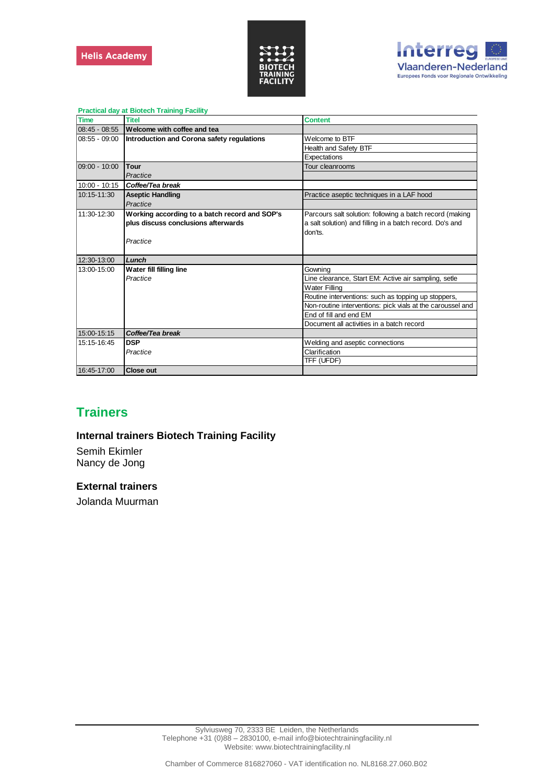



| <b>Practical day at Biotech Training Facility</b> |                                               |                                                            |  |
|---------------------------------------------------|-----------------------------------------------|------------------------------------------------------------|--|
| <b>Time</b>                                       | <b>Titel</b>                                  | <b>Content</b>                                             |  |
| 08:45 - 08:55                                     | Welcome with coffee and tea                   |                                                            |  |
| $08:55 - 09:00$                                   | Introduction and Corona safety regulations    | Welcome to BTF                                             |  |
|                                                   |                                               | Health and Safety BTF                                      |  |
|                                                   |                                               | Expectations                                               |  |
| $09:00 - 10:00$                                   | Tour                                          | Tour cleanrooms                                            |  |
|                                                   | Practice                                      |                                                            |  |
| $10:00 - 10:15$                                   | Coffee/Tea break                              |                                                            |  |
| 10:15-11:30                                       | <b>Aseptic Handling</b>                       | Practice aseptic techniques in a LAF hood                  |  |
|                                                   | Practice                                      |                                                            |  |
| 11:30-12:30                                       | Working according to a batch record and SOP's | Parcours salt solution: following a batch record (making   |  |
|                                                   | plus discuss conclusions afterwards           | a salt solution) and filling in a batch record. Do's and   |  |
|                                                   |                                               | don'ts.                                                    |  |
|                                                   | Practice                                      |                                                            |  |
|                                                   |                                               |                                                            |  |
| 12:30-13:00                                       | Lunch                                         |                                                            |  |
| 13:00-15:00                                       | Water fill filling line                       | Gowning                                                    |  |
|                                                   | Practice                                      | Line clearance, Start EM: Active air sampling, setle       |  |
|                                                   |                                               | <b>Water Filling</b>                                       |  |
|                                                   |                                               | Routine interventions: such as topping up stoppers,        |  |
|                                                   |                                               | Non-routine interventions: pick vials at the caroussel and |  |
|                                                   |                                               | End of fill and end EM                                     |  |
|                                                   |                                               | Document all activities in a batch record                  |  |
| 15:00-15:15                                       | Coffee/Tea break                              |                                                            |  |
| 15:15-16:45                                       | <b>DSP</b>                                    | Welding and aseptic connections                            |  |
|                                                   | Practice                                      | Clarification                                              |  |
|                                                   |                                               | TFF (UFDF)                                                 |  |
| 16:45-17:00                                       | <b>Close out</b>                              |                                                            |  |

# **Trainers**

## **Internal trainers Biotech Training Facility**

Semih Ekimler Nancy de Jong

### **External trainers**

Jolanda Muurman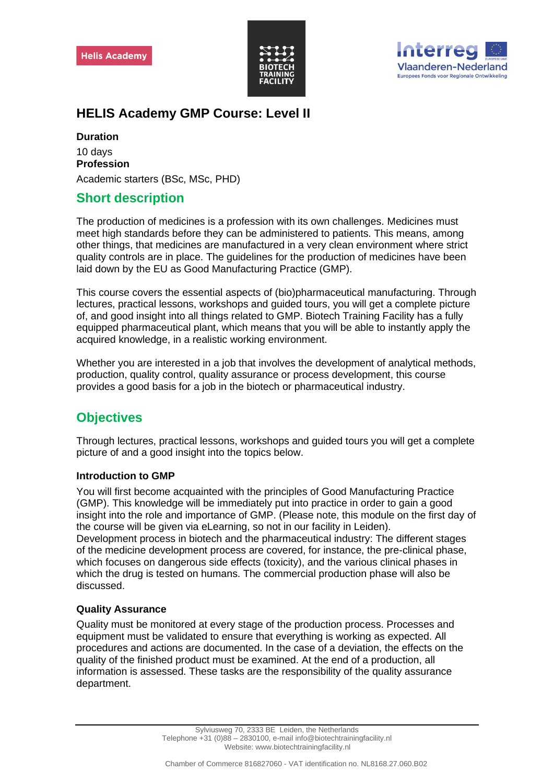



# **HELIS Academy GMP Course: Level II**

**Duration**

10 days **Profession** Academic starters (BSc, MSc, PHD)

## **Short description**

The production of medicines is a profession with its own challenges. Medicines must meet high standards before they can be administered to patients. This means, among other things, that medicines are manufactured in a very clean environment where strict quality controls are in place. The guidelines for the production of medicines have been laid down by the EU as Good Manufacturing Practice (GMP).

This course covers the essential aspects of (bio)pharmaceutical manufacturing. Through lectures, practical lessons, workshops and guided tours, you will get a complete picture of, and good insight into all things related to GMP. Biotech Training Facility has a fully equipped pharmaceutical plant, which means that you will be able to instantly apply the acquired knowledge, in a realistic working environment.

Whether you are interested in a job that involves the development of analytical methods, production, quality control, quality assurance or process development, this course provides a good basis for a job in the biotech or pharmaceutical industry.

# **Objectives**

Through lectures, practical lessons, workshops and guided tours you will get a complete picture of and a good insight into the topics below.

## **Introduction to GMP**

You will first become acquainted with the principles of Good Manufacturing Practice (GMP). This knowledge will be immediately put into practice in order to gain a good insight into the role and importance of GMP. (Please note, this module on the first day of the course will be given via eLearning, so not in our facility in Leiden). Development process in biotech and the pharmaceutical industry: The different stages of the medicine development process are covered, for instance, the pre-clinical phase, which focuses on dangerous side effects (toxicity), and the various clinical phases in which the drug is tested on humans. The commercial production phase will also be discussed.

## **Quality Assurance**

Quality must be monitored at every stage of the production process. Processes and equipment must be validated to ensure that everything is working as expected. All procedures and actions are documented. In the case of a deviation, the effects on the quality of the finished product must be examined. At the end of a production, all information is assessed. These tasks are the responsibility of the quality assurance department.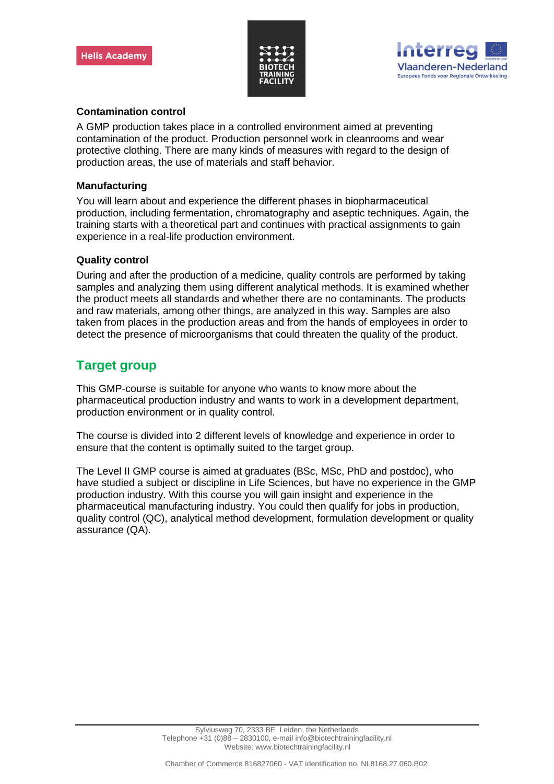



### **Contamination control**

A GMP production takes place in a controlled environment aimed at preventing contamination of the product. Production personnel work in cleanrooms and wear protective clothing. There are many kinds of measures with regard to the design of production areas, the use of materials and staff behavior.

### **Manufacturing**

You will learn about and experience the different phases in biopharmaceutical production, including fermentation, chromatography and aseptic techniques. Again, the training starts with a theoretical part and continues with practical assignments to gain experience in a real-life production environment.

## **Quality control**

During and after the production of a medicine, quality controls are performed by taking samples and analyzing them using different analytical methods. It is examined whether the product meets all standards and whether there are no contaminants. The products and raw materials, among other things, are analyzed in this way. Samples are also taken from places in the production areas and from the hands of employees in order to detect the presence of microorganisms that could threaten the quality of the product.

## **Target group**

This GMP-course is suitable for anyone who wants to know more about the pharmaceutical production industry and wants to work in a development department, production environment or in quality control.

The course is divided into 2 different levels of knowledge and experience in order to ensure that the content is optimally suited to the target group.

The Level II GMP course is aimed at graduates (BSc, MSc, PhD and postdoc), who have studied a subject or discipline in Life Sciences, but have no experience in the GMP production industry. With this course you will gain insight and experience in the pharmaceutical manufacturing industry. You could then qualify for jobs in production, quality control (QC), analytical method development, formulation development or quality assurance (QA).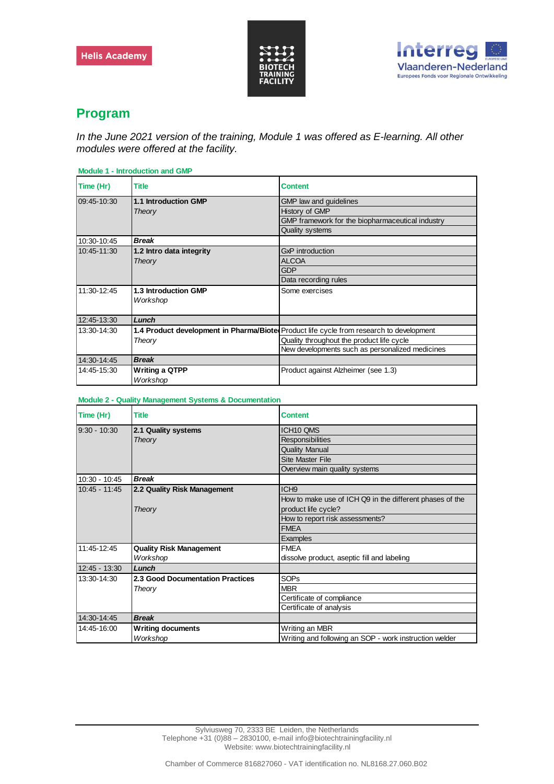



## **Program**

*In the June 2021 version of the training, Module 1 was offered as E-learning. All other modules were offered at the facility.*

| <b>Module 1 - Introduction and GMP</b> |                          |                                                                                         |
|----------------------------------------|--------------------------|-----------------------------------------------------------------------------------------|
| Time (Hr)                              | <b>Title</b>             | <b>Content</b>                                                                          |
| 09:45-10:30                            | 1.1 Introduction GMP     | GMP law and guidelines                                                                  |
|                                        | Theory                   | History of GMP                                                                          |
|                                        |                          | GMP framework for the biopharmaceutical industry                                        |
|                                        |                          | <b>Quality systems</b>                                                                  |
| 10:30-10:45                            | <b>Break</b>             |                                                                                         |
| 10:45-11:30                            | 1.2 Intro data integrity | GxP introduction                                                                        |
|                                        | Theory                   | <b>ALCOA</b>                                                                            |
|                                        |                          | <b>GDP</b>                                                                              |
|                                        |                          | Data recording rules                                                                    |
| 11:30-12:45                            | 1.3 Introduction GMP     | Some exercises                                                                          |
|                                        | Workshop                 |                                                                                         |
|                                        |                          |                                                                                         |
| 12:45-13:30                            | Lunch                    |                                                                                         |
| 13:30-14:30                            |                          | 1.4 Product development in Pharma/Biote Product life cycle from research to development |
|                                        | Theory                   | Quality throughout the product life cycle                                               |
|                                        |                          | New developments such as personalized medicines                                         |
| 14:30-14:45                            | <b>Break</b>             |                                                                                         |
| 14:45-15:30                            | <b>Writing a QTPP</b>    | Product against Alzheimer (see 1.3)                                                     |
|                                        | Workshop                 |                                                                                         |

### **Module 2 - Quality Management Systems & Documentation**

| Time (Hr)       | <b>Title</b>                     | <b>Content</b>                                           |
|-----------------|----------------------------------|----------------------------------------------------------|
| $9:30 - 10:30$  | 2.1 Quality systems              | ICH10 QMS                                                |
|                 | Theory                           | <b>Responsibilities</b>                                  |
|                 |                                  | <b>Quality Manual</b>                                    |
|                 |                                  | <b>Site Master File</b>                                  |
|                 |                                  | Overview main quality systems                            |
| $10:30 - 10:45$ | <b>Break</b>                     |                                                          |
| $10:45 - 11:45$ | 2.2 Quality Risk Management      | ICH <sub>9</sub>                                         |
|                 |                                  | How to make use of ICH Q9 in the different phases of the |
|                 | Theory                           | product life cycle?                                      |
|                 |                                  | How to report risk assessments?                          |
|                 |                                  | <b>FMFA</b>                                              |
|                 |                                  | Examples                                                 |
| 11:45-12:45     | <b>Quality Risk Management</b>   | <b>FMEA</b>                                              |
|                 | Workshop                         | dissolve product, aseptic fill and labeling              |
| $12:45 - 13:30$ | Lunch                            |                                                          |
| 13:30-14:30     | 2.3 Good Documentation Practices | <b>SOPs</b>                                              |
|                 | Theory                           | <b>MBR</b>                                               |
|                 |                                  | Certificate of compliance                                |
|                 |                                  | Certificate of analysis                                  |
| 14:30-14:45     | <b>Break</b>                     |                                                          |
| 14:45-16:00     | <b>Writing documents</b>         | Writing an MBR                                           |
|                 | Workshop                         | Writing and following an SOP - work instruction welder   |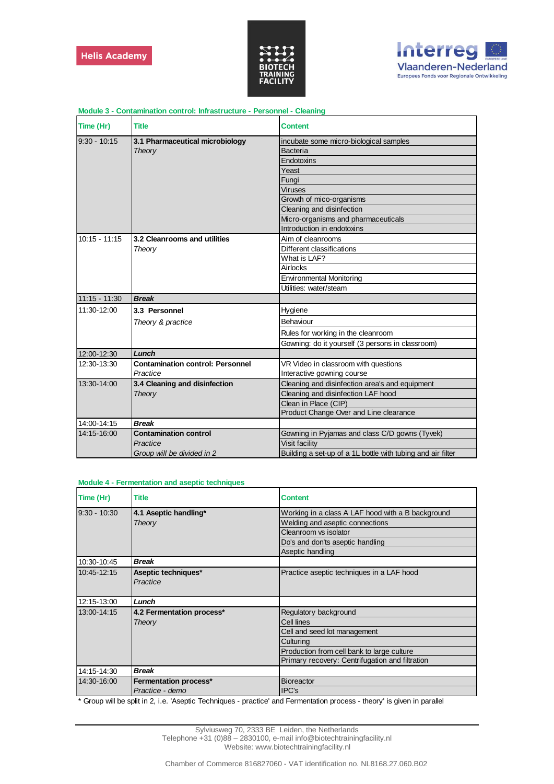



| Time (Hr)       | <b>Title</b>                            | <b>Content</b>                                              |
|-----------------|-----------------------------------------|-------------------------------------------------------------|
| $9:30 - 10:15$  | 3.1 Pharmaceutical microbiology         | incubate some micro-biological samples                      |
|                 | Theory                                  | <b>Bacteria</b>                                             |
|                 |                                         | Endotoxins                                                  |
|                 |                                         | Yeast                                                       |
|                 |                                         | Fungi                                                       |
|                 |                                         | Viruses                                                     |
|                 |                                         | Growth of mico-organisms                                    |
|                 |                                         | Cleaning and disinfection                                   |
|                 |                                         | Micro-organisms and pharmaceuticals                         |
|                 |                                         | Introduction in endotoxins                                  |
| $10:15 - 11:15$ | 3.2 Cleanrooms and utilities            | Aim of cleanrooms                                           |
|                 | Theory                                  | Different classifications                                   |
|                 |                                         | What is LAF?                                                |
|                 |                                         | Airlocks                                                    |
|                 |                                         | <b>Environmental Monitoring</b>                             |
|                 |                                         | Utilities: water/steam                                      |
| $11:15 - 11:30$ | <b>Break</b>                            |                                                             |
| 11:30-12:00     | 3.3 Personnel                           | Hygiene                                                     |
|                 | Theory & practice                       | Behaviour                                                   |
|                 |                                         | Rules for working in the cleanroom                          |
|                 |                                         | Gowning: do it yourself (3 persons in classroom)            |
| 12:00-12:30     | Lunch                                   |                                                             |
| 12:30-13:30     | <b>Contamination control: Personnel</b> | VR Video in classroom with questions                        |
|                 | Practice                                | Interactive gowning course                                  |
| 13:30-14:00     | 3.4 Cleaning and disinfection           | Cleaning and disinfection area's and equipment              |
|                 | Theory                                  | Cleaning and disinfection LAF hood                          |
|                 |                                         | Clean in Place (CIP)                                        |
|                 |                                         | Product Change Over and Line clearance                      |
| 14:00-14:15     | <b>Break</b>                            |                                                             |
| 14:15-16:00     | <b>Contamination control</b>            | Gowning in Pyjamas and class C/D gowns (Tyvek)              |
|                 | Practice                                | <b>Visit facility</b>                                       |
|                 | Group will be divided in 2              | Building a set-up of a 1L bottle with tubing and air filter |

### **Module 3 - Contamination control: Infrastructure - Personnel - Cleaning**

| <b>Module 4 - Fermentation and aseptic techniques</b> |  |
|-------------------------------------------------------|--|
|-------------------------------------------------------|--|

| Time (Hr)      | <b>Title</b>              | <b>Content</b>                                    |
|----------------|---------------------------|---------------------------------------------------|
| $9:30 - 10:30$ | 4.1 Aseptic handling*     | Working in a class A LAF hood with a B background |
|                | Theory                    | Welding and aseptic connections                   |
|                |                           | Cleanroom vs isolator                             |
|                |                           | Do's and don'ts aseptic handling                  |
|                |                           | Aseptic handling                                  |
| 10:30-10:45    | <b>Break</b>              |                                                   |
| 10:45-12:15    | Aseptic techniques*       | Practice aseptic techniques in a LAF hood         |
|                | Practice                  |                                                   |
|                |                           |                                                   |
| 12:15-13:00    | Lunch                     |                                                   |
| 13:00-14:15    | 4.2 Fermentation process* | Regulatory background                             |
|                | Theory                    | Cell lines                                        |
|                |                           | Cell and seed lot management                      |
|                |                           | Culturing                                         |
|                |                           | Production from cell bank to large culture        |
|                |                           | Primary recovery: Centrifugation and filtration   |
| 14:15-14:30    | <b>Break</b>              |                                                   |
| 14:30-16:00    | Fermentation process*     | <b>Bioreactor</b>                                 |
|                | Practice - demo           | IPC's                                             |

\* Group will be split in 2, i.e. 'Aseptic Techniques - practice' and Fermentation process - theory' is given in parallel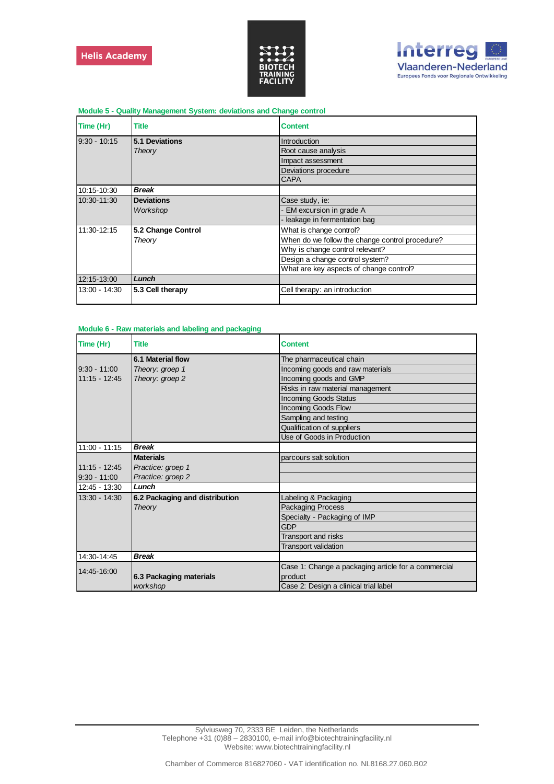



| Time (Hr)      | Title              | <b>Content</b>                                  |
|----------------|--------------------|-------------------------------------------------|
| $9:30 - 10:15$ | 5.1 Deviations     | Introduction                                    |
|                | Theory             | Root cause analysis                             |
|                |                    | Impact assessment                               |
|                |                    | Deviations procedure                            |
|                |                    | <b>CAPA</b>                                     |
| 10:15-10:30    | Break              |                                                 |
| 10:30-11:30    | <b>Deviations</b>  | Case study, ie:                                 |
|                | Workshop           | - EM excursion in grade A                       |
|                |                    | - leakage in fermentation bag                   |
| 11:30-12:15    | 5.2 Change Control | What is change control?                         |
|                | Theory             | When do we follow the change control procedure? |
|                |                    | Why is change control relevant?                 |
|                |                    | Design a change control system?                 |
|                |                    | What are key aspects of change control?         |
| 12:15-13:00    | Lunch              |                                                 |
| 13:00 - 14:30  | 5.3 Cell therapy   | Cell therapy: an introduction                   |
|                |                    |                                                 |

#### **Module 5 - Quality Management System: deviations and Change control**

#### **Module 6 - Raw materials and labeling and packaging**

| Time (Hr)       | Title                          | <b>Content</b>                                      |
|-----------------|--------------------------------|-----------------------------------------------------|
|                 | 6.1 Material flow              | The pharmaceutical chain                            |
| $9:30 - 11:00$  | Theory: groep 1                | Incoming goods and raw materials                    |
| $11:15 - 12:45$ | Theory: groep 2                | Incoming goods and GMP                              |
|                 |                                | Risks in raw material management                    |
|                 |                                | <b>Incoming Goods Status</b>                        |
|                 |                                | <b>Incoming Goods Flow</b>                          |
|                 |                                | Sampling and testing                                |
|                 |                                | Qualification of suppliers                          |
|                 |                                | Use of Goods in Production                          |
| $11:00 - 11:15$ | <b>Break</b>                   |                                                     |
|                 | <b>Materials</b>               | parcours salt solution                              |
| $11:15 - 12:45$ | Practice: groep 1              |                                                     |
| $9:30 - 11:00$  | Practice: groep 2              |                                                     |
| 12:45 - 13:30   | Lunch                          |                                                     |
| $13:30 - 14:30$ | 6.2 Packaging and distribution | Labeling & Packaging                                |
|                 | Theory                         | <b>Packaging Process</b>                            |
|                 |                                | Specialty - Packaging of IMP                        |
|                 |                                | GDP                                                 |
|                 |                                | Transport and risks                                 |
|                 |                                | <b>Transport validation</b>                         |
| 14:30-14:45     | <b>Break</b>                   |                                                     |
|                 |                                | Case 1: Change a packaging article for a commercial |
| 14:45-16:00     | 6.3 Packaging materials        | product                                             |
|                 | workshop                       | Case 2: Design a clinical trial label               |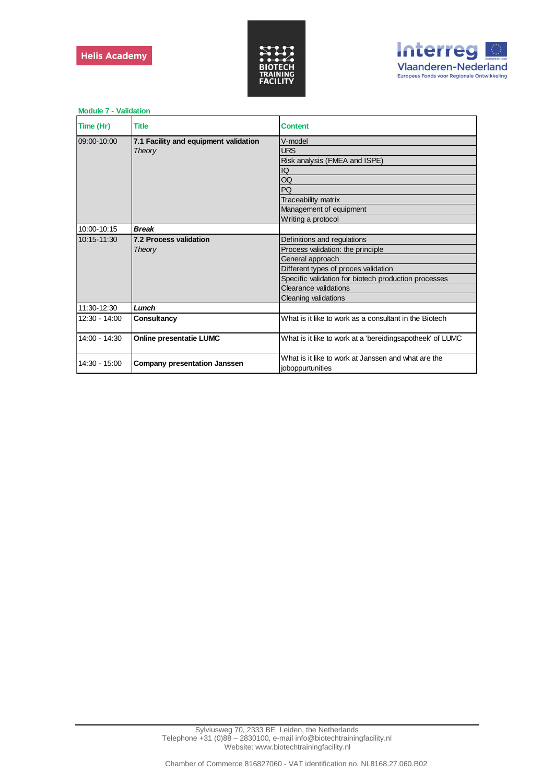



| <b>Module 7 - Validation</b> |                                       |                                                           |
|------------------------------|---------------------------------------|-----------------------------------------------------------|
| Time (Hr)                    | <b>Title</b>                          | <b>Content</b>                                            |
| 09:00-10:00                  | 7.1 Facility and equipment validation | V-model                                                   |
|                              | Theory                                | <b>URS</b>                                                |
|                              |                                       | Risk analysis (FMEA and ISPE)                             |
|                              |                                       | IQ                                                        |
|                              |                                       | OQ                                                        |
|                              |                                       | PQ                                                        |
|                              |                                       | Traceability matrix                                       |
|                              |                                       | Management of equipment                                   |
|                              |                                       | Writing a protocol                                        |
| 10:00-10:15                  | <b>Break</b>                          |                                                           |
| 10:15-11:30                  | <b>7.2 Process validation</b>         | Definitions and regulations                               |
|                              | Theory                                | Process validation: the principle                         |
|                              |                                       | General approach                                          |
|                              |                                       | Different types of proces validation                      |
|                              |                                       | Specific validation for biotech production processes      |
|                              |                                       | Clearance validations                                     |
|                              |                                       | Cleaning validations                                      |
| 11:30-12:30                  | Lunch                                 |                                                           |
| $12:30 - 14:00$              | Consultancy                           | What is it like to work as a consultant in the Biotech    |
|                              |                                       |                                                           |
| $14:00 - 14:30$              | <b>Online presentatie LUMC</b>        | What is it like to work at a 'bereidingsapotheek' of LUMC |
| $14:30 - 15:00$              | <b>Company presentation Janssen</b>   | What is it like to work at Janssen and what are the       |
|                              |                                       | joboppurtunities                                          |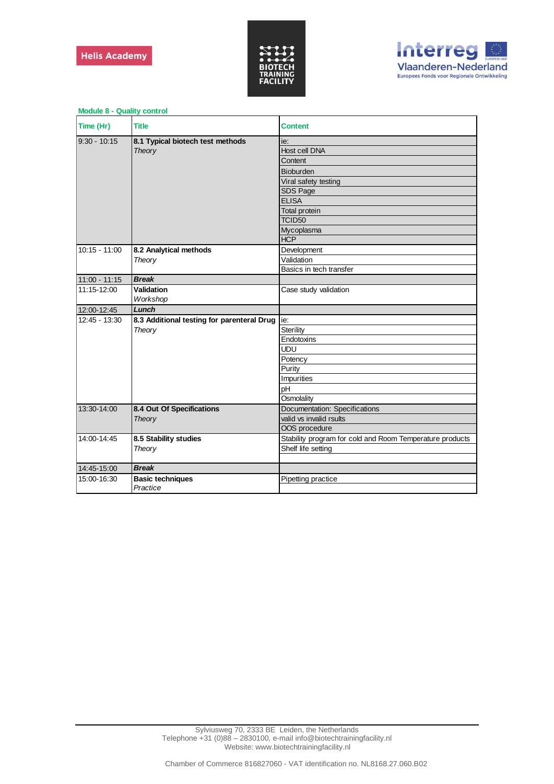



| <b>INDUCTO</b> - QUAILY CONTINU |                                            |                                                          |
|---------------------------------|--------------------------------------------|----------------------------------------------------------|
| Time (Hr)                       | <b>Title</b>                               | <b>Content</b>                                           |
| $9:30 - 10:15$                  | 8.1 Typical biotech test methods           | ie:                                                      |
|                                 | Theory                                     | Host cell DNA                                            |
|                                 |                                            | Content                                                  |
|                                 |                                            | <b>Bioburden</b>                                         |
|                                 |                                            | Viral safety testing                                     |
|                                 |                                            | SDS Page                                                 |
|                                 |                                            | <b>ELISA</b>                                             |
|                                 |                                            | <b>Total protein</b>                                     |
|                                 |                                            | TCID <sub>50</sub>                                       |
|                                 |                                            | Mycoplasma                                               |
|                                 |                                            | <b>HCP</b>                                               |
| $10:15 - 11:00$                 | 8.2 Analytical methods                     | Development                                              |
|                                 | Theory                                     | Validation                                               |
|                                 |                                            | Basics in tech transfer                                  |
| 11:00 - 11:15                   | <b>Break</b>                               |                                                          |
| 11:15-12:00                     | <b>Validation</b>                          | Case study validation                                    |
|                                 | Workshop                                   |                                                          |
| 12:00-12:45                     | Lunch                                      |                                                          |
| 12:45 - 13:30                   | 8.3 Additional testing for parenteral Drug | ie:                                                      |
|                                 | Theory                                     | Sterility                                                |
|                                 |                                            | Endotoxins                                               |
|                                 |                                            | <b>UDU</b>                                               |
|                                 |                                            | Potency                                                  |
|                                 |                                            | Purity                                                   |
|                                 |                                            | Impurities                                               |
|                                 |                                            | pH                                                       |
|                                 |                                            | Osmolality                                               |
| 13:30-14:00                     | 8.4 Out Of Specifications                  | Documentation: Specifications                            |
|                                 | Theory                                     | valid vs invalid rsults                                  |
|                                 |                                            | OOS procedure                                            |
| 14:00-14:45                     | 8.5 Stability studies                      | Stability program for cold and Room Temperature products |
|                                 | Theory                                     | Shelf life setting                                       |
|                                 |                                            |                                                          |
| 14:45-15:00                     | <b>Break</b>                               |                                                          |
| 15:00-16:30                     | <b>Basic techniques</b><br>Practice        | Pipetting practice                                       |

**Module 8 - Quality control**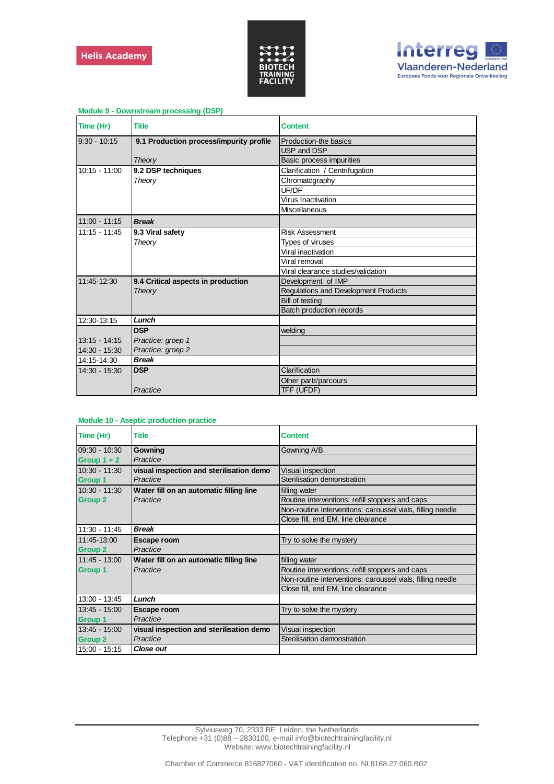



| Time (Hr)       | <b>Title</b>                            | <b>Content</b>                       |
|-----------------|-----------------------------------------|--------------------------------------|
| $9:30 - 10:15$  | 9.1 Production process/impurity profile | Production-the basics                |
|                 |                                         | USP and DSP                          |
|                 | Theory                                  | Basic process impurities             |
| $10:15 - 11:00$ | 9.2 DSP techniques                      | Clarification / Centrifugation       |
|                 | Theory                                  | Chromatography                       |
|                 |                                         | UF/DF                                |
|                 |                                         | Virus Inactivation                   |
|                 |                                         | Miscellaneous                        |
| $11:00 - 11:15$ | <b>Break</b>                            |                                      |
| $11:15 - 11:45$ | 9.3 Viral safety                        | <b>Risk Assessment</b>               |
|                 | Theory                                  | Types of viruses                     |
|                 |                                         | Viral inactivation                   |
|                 |                                         | Viral removal                        |
|                 |                                         | Viral clearance studies/validation   |
| 11:45-12:30     | 9.4 Critical aspects in production      | Development of IMP                   |
|                 | Theory                                  | Regulations and Development Products |
|                 |                                         | Bill of testing                      |
|                 |                                         | Batch production records             |
| 12:30-13:15     | Lunch                                   |                                      |
|                 | <b>DSP</b>                              | welding                              |
| $13:15 - 14:15$ | Practice: groep 1                       |                                      |
| 14:30 - 15:30   | Practice: groep 2                       |                                      |
| 14:15-14:30     | <b>Break</b>                            |                                      |
| 14:30 - 15:30   | <b>DSP</b>                              | Clarification                        |
|                 |                                         | Other parts'parcours                 |
|                 | Practice                                | TFF (UFDF)                           |

### **Module 9 - Downstream processing (DSP)**

#### **Module 10 - Aseptic production practice**

| Time (Hr)       | Title                                    | <b>Content</b>                                             |
|-----------------|------------------------------------------|------------------------------------------------------------|
| 09:30 - 10:30   | Gowning                                  | Gowning A/B                                                |
| Group $1 + 2$   | Practice                                 |                                                            |
| 10:30 - 11:30   | visual inspection and sterilisation demo | Visual inspection                                          |
| <b>Group 1</b>  | Practice                                 | Sterilisation demonstration                                |
| 10:30 - 11:30   | Water fill on an automatic filling line  | filling water                                              |
| <b>Group 2</b>  | Practice                                 | Routine interventions: refill stoppers and caps            |
|                 |                                          | Non-routine interventions: caroussel vials, filling needle |
|                 |                                          | Close fill, end EM, line clearance                         |
| $11:30 - 11:45$ | <b>Break</b>                             |                                                            |
| 11:45 13:00     | Escape room                              | Try to solve the mystery                                   |
| <b>Group 2</b>  | Practice                                 |                                                            |
| 11:45 - 13:00   | Water fill on an automatic filling line  | filling water                                              |
| <b>Group 1</b>  | Practice                                 | Routine interventions: refill stoppers and caps            |
|                 |                                          | Non-routine interventions: caroussel vials, filling needle |
|                 |                                          | Close fill, end EM, line clearance                         |
| 13:00 - 13:45   | Lunch                                    |                                                            |
| 13:45 - 15:00   | Escape room                              | Try to solve the mystery                                   |
| <b>Group 1</b>  | Practice                                 |                                                            |
| 13:45 - 15:00   | visual inspection and sterilisation demo | Visual inspection                                          |
| <b>Group 2</b>  | Practice                                 | Sterilisation demonstration                                |
| 15:00 - 15:15   | <b>Close out</b>                         |                                                            |